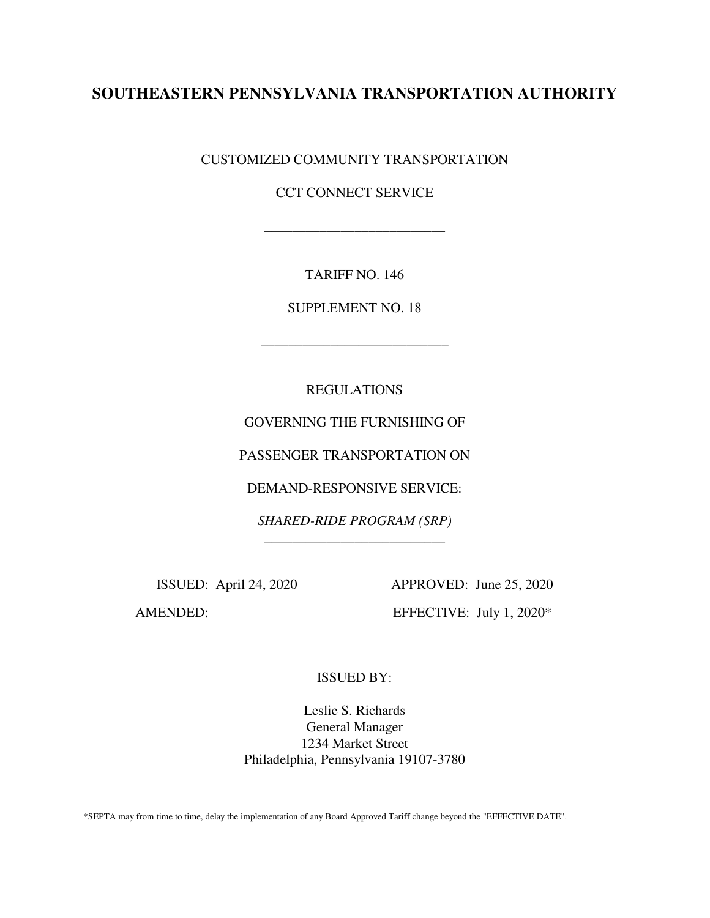# **SOUTHEASTERN PENNSYLVANIA TRANSPORTATION AUTHORITY**

CUSTOMIZED COMMUNITY TRANSPORTATION

CCT CONNECT SERVICE

\_\_\_\_\_\_\_\_\_\_\_\_\_\_\_\_\_\_\_\_\_\_\_\_\_\_

TARIFF NO. 146

SUPPLEMENT NO. 18

\_\_\_\_\_\_\_\_\_\_\_\_\_\_\_\_\_\_\_\_\_\_\_\_\_\_\_

REGULATIONS

GOVERNING THE FURNISHING OF

PASSENGER TRANSPORTATION ON

DEMAND-RESPONSIVE SERVICE:

*SHARED-RIDE PROGRAM (SRP)*  \_\_\_\_\_\_\_\_\_\_\_\_\_\_\_\_\_\_\_\_\_\_\_\_\_\_

 ISSUED: April 24, 2020 APPROVED: June 25, 2020 AMENDED: EFFECTIVE: July 1, 2020\*

ISSUED BY:

Leslie S. Richards General Manager 1234 Market Street Philadelphia, Pennsylvania 19107-3780

\*SEPTA may from time to time, delay the implementation of any Board Approved Tariff change beyond the "EFFECTIVE DATE".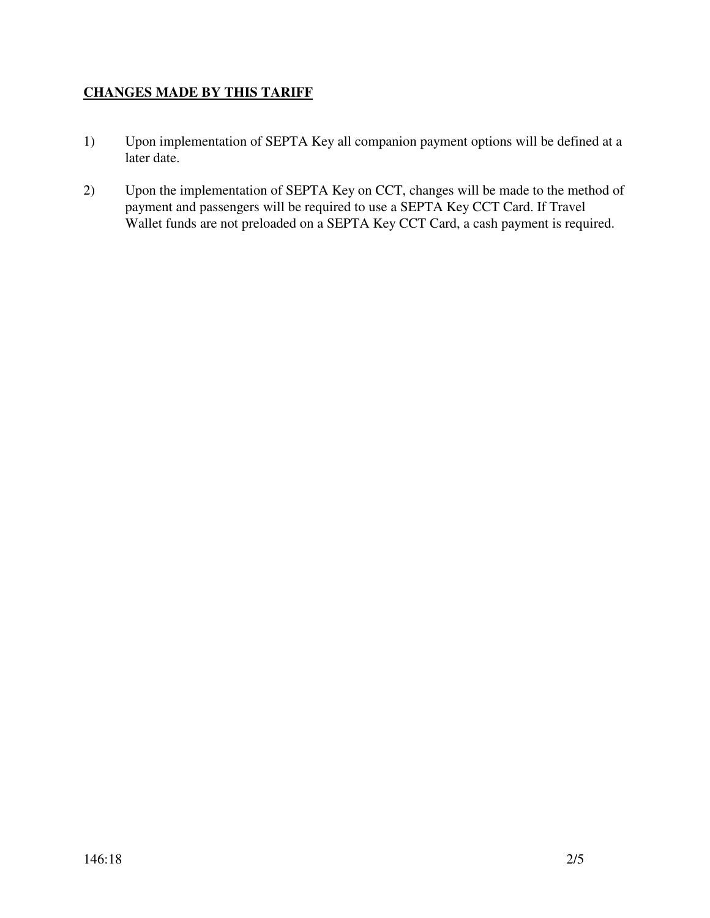## **CHANGES MADE BY THIS TARIFF**

- 1) Upon implementation of SEPTA Key all companion payment options will be defined at a later date.
- 2) Upon the implementation of SEPTA Key on CCT, changes will be made to the method of payment and passengers will be required to use a SEPTA Key CCT Card. If Travel Wallet funds are not preloaded on a SEPTA Key CCT Card, a cash payment is required.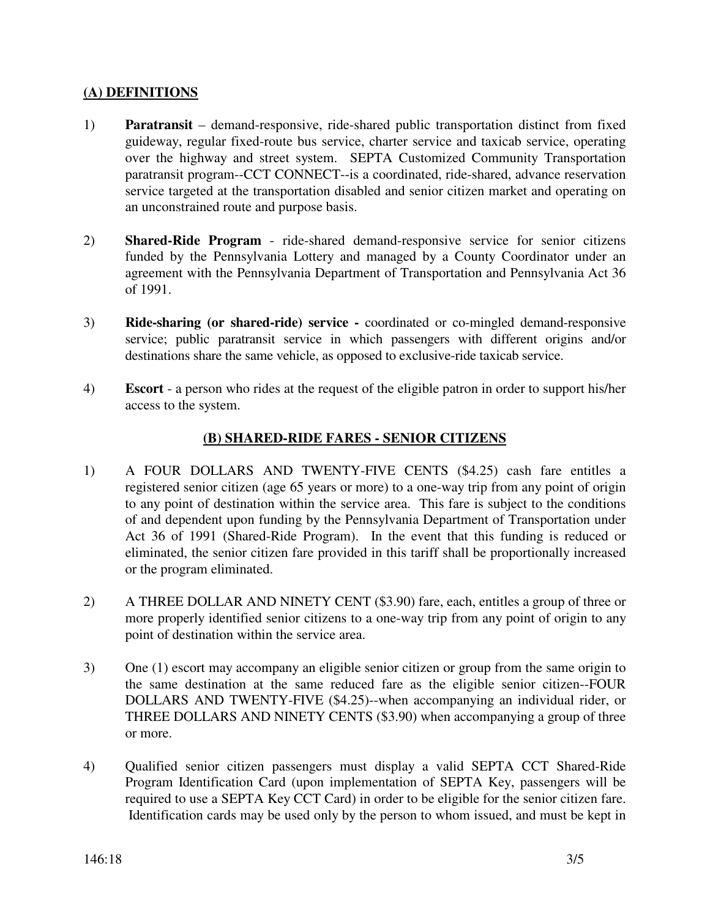#### **(A) DEFINITIONS**

- 1) **Paratransit** demand-responsive, ride-shared public transportation distinct from fixed guideway, regular fixed-route bus service, charter service and taxicab service, operating over the highway and street system. SEPTA Customized Community Transportation paratransit program--CCT CONNECT--is a coordinated, ride-shared, advance reservation service targeted at the transportation disabled and senior citizen market and operating on an unconstrained route and purpose basis.
- 2) **Shared-Ride Program** ride-shared demand-responsive service for senior citizens funded by the Pennsylvania Lottery and managed by a County Coordinator under an agreement with the Pennsylvania Department of Transportation and Pennsylvania Act 36 of 1991.
- 3) **Ride-sharing (or shared-ride) service -** coordinated or co-mingled demand-responsive service; public paratransit service in which passengers with different origins and/or destinations share the same vehicle, as opposed to exclusive-ride taxicab service.
- 4) **Escort** a person who rides at the request of the eligible patron in order to support his/her access to the system.

#### **(B) SHARED-RIDE FARES - SENIOR CITIZENS**

- 1) A FOUR DOLLARS AND TWENTY-FIVE CENTS (\$4.25) cash fare entitles a registered senior citizen (age 65 years or more) to a one-way trip from any point of origin to any point of destination within the service area. This fare is subject to the conditions of and dependent upon funding by the Pennsylvania Department of Transportation under Act 36 of 1991 (Shared-Ride Program). In the event that this funding is reduced or eliminated, the senior citizen fare provided in this tariff shall be proportionally increased or the program eliminated.
- 2) A THREE DOLLAR AND NINETY CENT (\$3.90) fare, each, entitles a group of three or more properly identified senior citizens to a one-way trip from any point of origin to any point of destination within the service area.
- 3) One (1) escort may accompany an eligible senior citizen or group from the same origin to the same destination at the same reduced fare as the eligible senior citizen--FOUR DOLLARS AND TWENTY-FIVE (\$4.25)--when accompanying an individual rider, or THREE DOLLARS AND NINETY CENTS (\$3.90) when accompanying a group of three or more.
- 4) Qualified senior citizen passengers must display a valid SEPTA CCT Shared-Ride Program Identification Card (upon implementation of SEPTA Key, passengers will be required to use a SEPTA Key CCT Card) in order to be eligible for the senior citizen fare. Identification cards may be used only by the person to whom issued, and must be kept in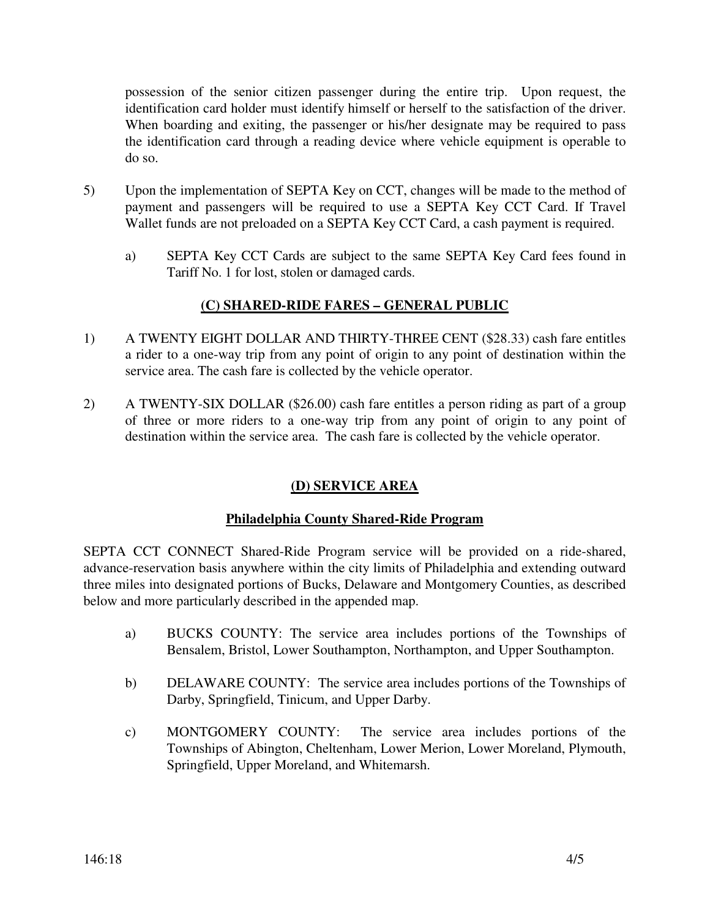possession of the senior citizen passenger during the entire trip. Upon request, the identification card holder must identify himself or herself to the satisfaction of the driver. When boarding and exiting, the passenger or his/her designate may be required to pass the identification card through a reading device where vehicle equipment is operable to do so.

- 5) Upon the implementation of SEPTA Key on CCT, changes will be made to the method of payment and passengers will be required to use a SEPTA Key CCT Card. If Travel Wallet funds are not preloaded on a SEPTA Key CCT Card, a cash payment is required.
	- a) SEPTA Key CCT Cards are subject to the same SEPTA Key Card fees found in Tariff No. 1 for lost, stolen or damaged cards.

# **(C) SHARED-RIDE FARES – GENERAL PUBLIC**

- 1) A TWENTY EIGHT DOLLAR AND THIRTY-THREE CENT (\$28.33) cash fare entitles a rider to a one-way trip from any point of origin to any point of destination within the service area. The cash fare is collected by the vehicle operator.
- 2) A TWENTY-SIX DOLLAR (\$26.00) cash fare entitles a person riding as part of a group of three or more riders to a one-way trip from any point of origin to any point of destination within the service area. The cash fare is collected by the vehicle operator.

# **(D) SERVICE AREA**

#### **Philadelphia County Shared-Ride Program**

SEPTA CCT CONNECT Shared-Ride Program service will be provided on a ride-shared, advance-reservation basis anywhere within the city limits of Philadelphia and extending outward three miles into designated portions of Bucks, Delaware and Montgomery Counties, as described below and more particularly described in the appended map.

- a) BUCKS COUNTY: The service area includes portions of the Townships of Bensalem, Bristol, Lower Southampton, Northampton, and Upper Southampton.
- b) DELAWARE COUNTY: The service area includes portions of the Townships of Darby, Springfield, Tinicum, and Upper Darby.
- c) MONTGOMERY COUNTY: The service area includes portions of the Townships of Abington, Cheltenham, Lower Merion, Lower Moreland, Plymouth, Springfield, Upper Moreland, and Whitemarsh.